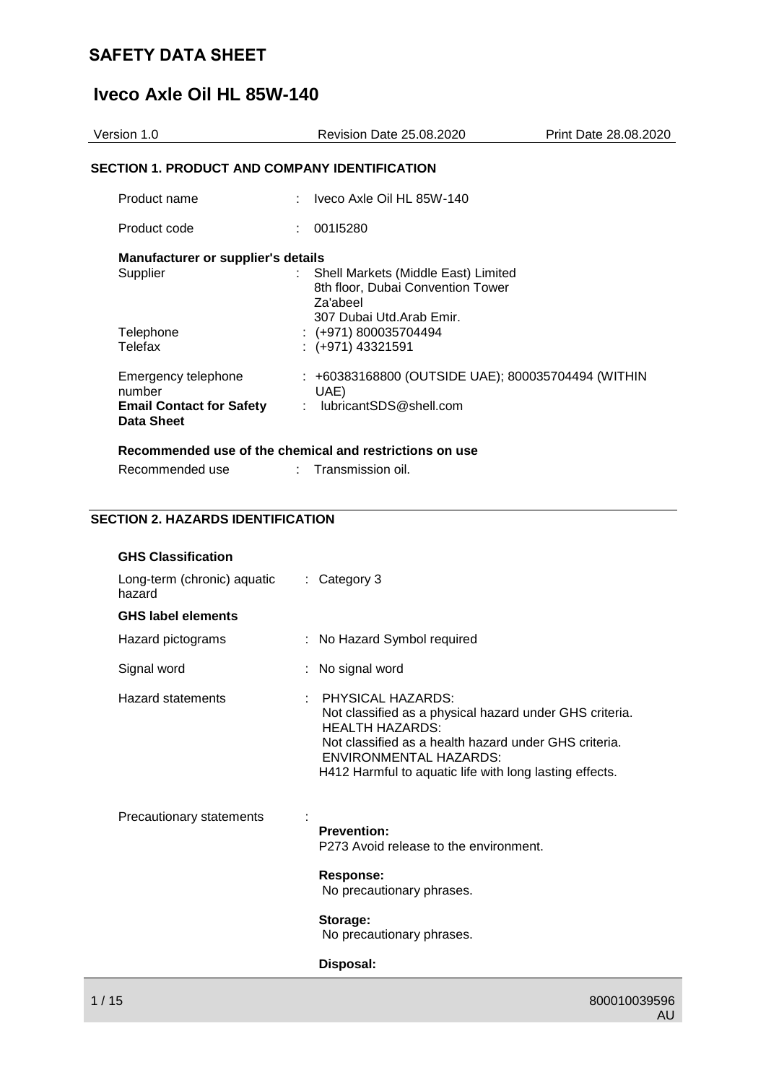# **Iveco Axle Oil HL 85W-140**

| Version 1.0                                                                    | <b>Revision Date 25.08.2020</b>                                                                                                                                   | Print Date 28.08.2020 |
|--------------------------------------------------------------------------------|-------------------------------------------------------------------------------------------------------------------------------------------------------------------|-----------------------|
| SECTION 1. PRODUCT AND COMPANY IDENTIFICATION                                  |                                                                                                                                                                   |                       |
| Product name                                                                   | Iveco Axle Oil HL 85W-140                                                                                                                                         |                       |
| Product code                                                                   | 00115280                                                                                                                                                          |                       |
| <b>Manufacturer or supplier's details</b><br>Supplier<br>Telephone<br>Telefax  | Shell Markets (Middle East) Limited<br>8th floor, Dubai Convention Tower<br>Za'abeel<br>307 Dubai Utd.Arab Emir.<br>$: (+971) 800035704494$<br>$:(+971)$ 43321591 |                       |
| Emergency telephone<br>number<br><b>Email Contact for Safety</b><br>Data Sheet | : +60383168800 (OUTSIDE UAE); 800035704494 (WITHIN<br>UAE)<br>: lubricantSDS@shell.com<br>Recommended use of the chemical and restrictions on use                 |                       |

# **SECTION 2. HAZARDS IDENTIFICATION**

Recommended use : Transmission oil.

| <b>GHS Classification</b>             |                                                                                                                                                                                                                                                                    |
|---------------------------------------|--------------------------------------------------------------------------------------------------------------------------------------------------------------------------------------------------------------------------------------------------------------------|
| Long-term (chronic) aquatic<br>hazard | $\therefore$ Category 3                                                                                                                                                                                                                                            |
| <b>GHS label elements</b>             |                                                                                                                                                                                                                                                                    |
| Hazard pictograms                     | : No Hazard Symbol required                                                                                                                                                                                                                                        |
| Signal word                           | : No signal word                                                                                                                                                                                                                                                   |
| Hazard statements<br>÷.               | <b>PHYSICAL HAZARDS:</b><br>Not classified as a physical hazard under GHS criteria.<br><b>HEALTH HAZARDS:</b><br>Not classified as a health hazard under GHS criteria.<br><b>ENVIRONMENTAL HAZARDS:</b><br>H412 Harmful to aquatic life with long lasting effects. |
| Precautionary statements              | <b>Prevention:</b><br>P273 Avoid release to the environment.<br>Response:<br>No precautionary phrases.<br>Storage:<br>No precautionary phrases.<br>Disposal:                                                                                                       |
|                                       |                                                                                                                                                                                                                                                                    |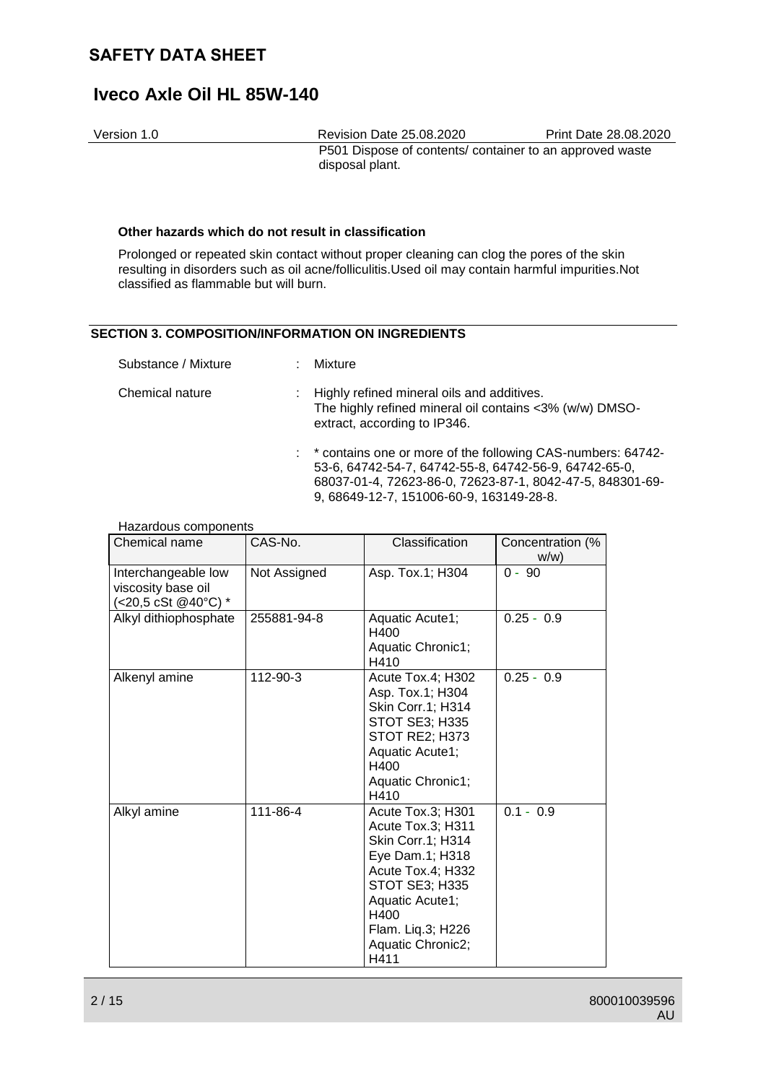# **Iveco Axle Oil HL 85W-140**

Version 1.0 Revision Date 25.08.2020 Print Date 28.08.2020 P501 Dispose of contents/ container to an approved waste disposal plant.

### **Other hazards which do not result in classification**

Prolonged or repeated skin contact without proper cleaning can clog the pores of the skin resulting in disorders such as oil acne/folliculitis.Used oil may contain harmful impurities.Not classified as flammable but will burn.

## **SECTION 3. COMPOSITION/INFORMATION ON INGREDIENTS**

| Substance / Mixture | ÷. | Mixture                                                                                                                                                                             |
|---------------------|----|-------------------------------------------------------------------------------------------------------------------------------------------------------------------------------------|
| Chemical nature     |    | : Highly refined mineral oils and additives.<br>The highly refined mineral oil contains <3% (w/w) DMSO-<br>extract, according to IP346.                                             |
|                     |    | : * contains one or more of the following CAS-numbers: 64742-<br>53-6, 64742-54-7, 64742-55-8, 64742-56-9, 64742-65-0,<br>68037-01-4, 72623-86-0, 72623-87-1, 8042-47-5, 848301-69- |

#### 9, 68649-12-7, 151006-60-9, 163149-28-8.

#### Hazardous components

| Chemical name                                                    | CAS-No.      | Classification                                                                                                                                                                                     | Concentration (%<br>W/W |  |
|------------------------------------------------------------------|--------------|----------------------------------------------------------------------------------------------------------------------------------------------------------------------------------------------------|-------------------------|--|
| Interchangeable low<br>viscosity base oil<br>(<20,5 cSt @40°C) * | Not Assigned | Asp. Tox.1; H304                                                                                                                                                                                   | $0 - 90$                |  |
| Alkyl dithiophosphate                                            | 255881-94-8  | Aquatic Acute1;<br>H400<br>Aquatic Chronic1;<br>H410                                                                                                                                               | $0.25 - 0.9$            |  |
| Alkenyl amine                                                    | 112-90-3     | Acute Tox.4; H302<br>Asp. Tox.1; H304<br>Skin Corr.1; H314<br>STOT SE3; H335<br><b>STOT RE2; H373</b><br>Aquatic Acute1;<br>H400<br>Aquatic Chronic1;<br>H410                                      | $0.25 - 0.9$            |  |
| Alkyl amine                                                      | 111-86-4     | Acute Tox.3; H301<br>Acute Tox.3; H311<br>Skin Corr.1; H314<br>Eye Dam.1; H318<br>Acute Tox.4; H332<br>STOT SE3; H335<br>Aquatic Acute1;<br>H400<br>Flam. Liq.3; H226<br>Aquatic Chronic2;<br>H411 | $0.1 - 0.9$             |  |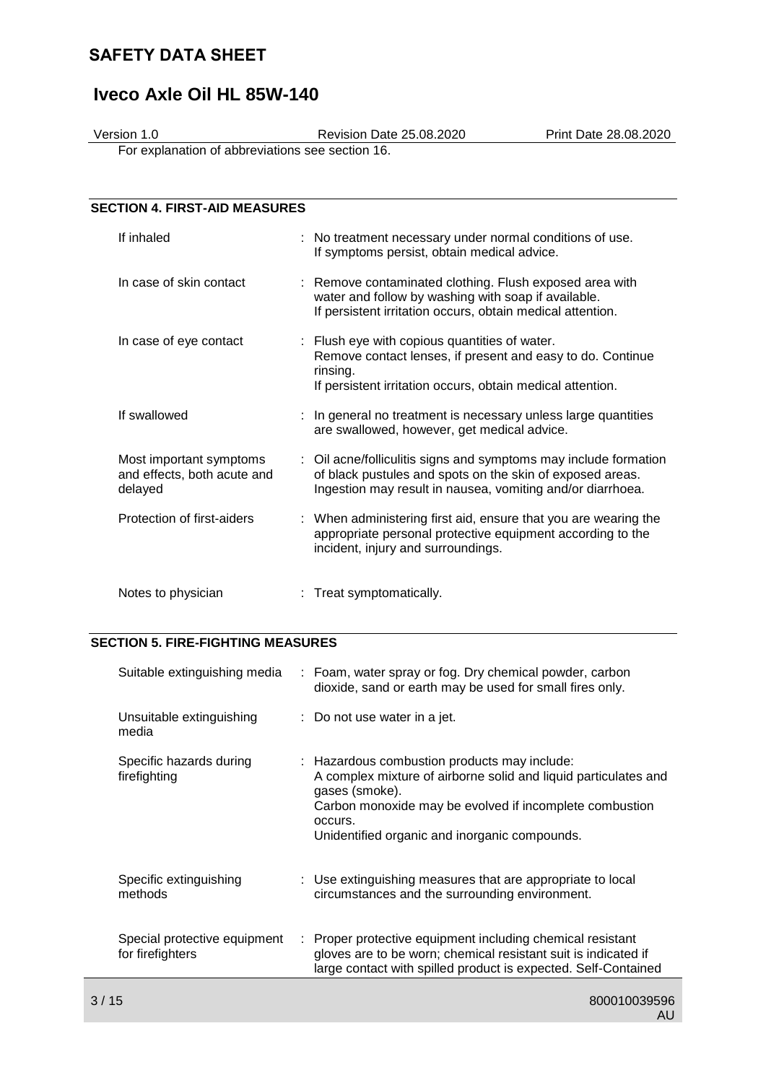# **Iveco Axle Oil HL 85W-140**

Version 1.0 Revision Date 25.08.2020 Print Date 28.08.2020

For explanation of abbreviations see section 16.

|            | <b>SECTION 4. FIRST-AID MEASURES</b>                   |                                                                                                                                                                                             |
|------------|--------------------------------------------------------|---------------------------------------------------------------------------------------------------------------------------------------------------------------------------------------------|
| If inhaled |                                                        | : No treatment necessary under normal conditions of use.<br>If symptoms persist, obtain medical advice.                                                                                     |
|            | In case of skin contact                                | : Remove contaminated clothing. Flush exposed area with<br>water and follow by washing with soap if available.<br>If persistent irritation occurs, obtain medical attention.                |
|            | In case of eye contact                                 | : Flush eye with copious quantities of water.<br>Remove contact lenses, if present and easy to do. Continue<br>rinsing.<br>If persistent irritation occurs, obtain medical attention.       |
|            | If swallowed                                           | : In general no treatment is necessary unless large quantities<br>are swallowed, however, get medical advice.                                                                               |
| delayed    | Most important symptoms<br>and effects, both acute and | : Oil acne/folliculitis signs and symptoms may include formation<br>of black pustules and spots on the skin of exposed areas.<br>Ingestion may result in nausea, vomiting and/or diarrhoea. |
|            | Protection of first-aiders                             | : When administering first aid, ensure that you are wearing the<br>appropriate personal protective equipment according to the<br>incident, injury and surroundings.                         |
|            | Notes to physician                                     | Treat symptomatically.                                                                                                                                                                      |

# **SECTION 5. FIRE-FIGHTING MEASURES**

| Suitable extinguishing media                     |    | : Foam, water spray or fog. Dry chemical powder, carbon<br>dioxide, sand or earth may be used for small fires only.                                                                                                                                      |
|--------------------------------------------------|----|----------------------------------------------------------------------------------------------------------------------------------------------------------------------------------------------------------------------------------------------------------|
| Unsuitable extinguishing<br>media                |    | $\therefore$ Do not use water in a jet.                                                                                                                                                                                                                  |
| Specific hazards during<br>firefighting          |    | : Hazardous combustion products may include:<br>A complex mixture of airborne solid and liquid particulates and<br>gases (smoke).<br>Carbon monoxide may be evolved if incomplete combustion<br>occurs.<br>Unidentified organic and inorganic compounds. |
| Specific extinguishing<br>methods                |    | : Use extinguishing measures that are appropriate to local<br>circumstances and the surrounding environment.                                                                                                                                             |
| Special protective equipment<br>for firefighters | ÷. | Proper protective equipment including chemical resistant<br>gloves are to be worn; chemical resistant suit is indicated if<br>large contact with spilled product is expected. Self-Contained                                                             |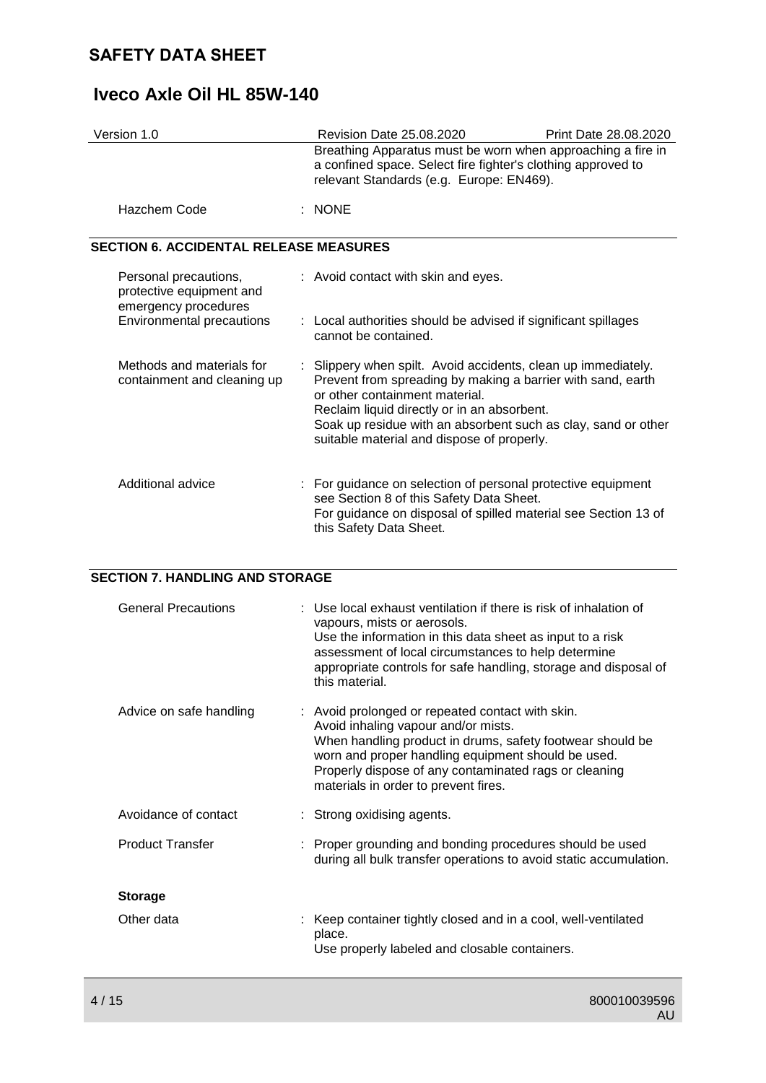# **Iveco Axle Oil HL 85W-140**

| Version 1.0                                   | Revision Date 25.08.2020                                                                                                                                                | Print Date 28.08.2020 |  |
|-----------------------------------------------|-------------------------------------------------------------------------------------------------------------------------------------------------------------------------|-----------------------|--|
|                                               | Breathing Apparatus must be worn when approaching a fire in<br>a confined space. Select fire fighter's clothing approved to<br>relevant Standards (e.g. Europe: EN469). |                       |  |
| Hazchem Code                                  | : NONE                                                                                                                                                                  |                       |  |
| <b>SECTION 6. ACCIDENTAL RELEASE MEASURES</b> |                                                                                                                                                                         |                       |  |

| Personal precautions,<br>protective equipment and<br>emergency procedures<br>Environmental precautions | : Avoid contact with skin and eyes.<br>: Local authorities should be advised if significant spillages<br>cannot be contained.                                                                                                                                                                                                |
|--------------------------------------------------------------------------------------------------------|------------------------------------------------------------------------------------------------------------------------------------------------------------------------------------------------------------------------------------------------------------------------------------------------------------------------------|
| Methods and materials for<br>containment and cleaning up                                               | : Slippery when spilt. Avoid accidents, clean up immediately.<br>Prevent from spreading by making a barrier with sand, earth<br>or other containment material.<br>Reclaim liquid directly or in an absorbent.<br>Soak up residue with an absorbent such as clay, sand or other<br>suitable material and dispose of properly. |
| Additional advice                                                                                      | : For guidance on selection of personal protective equipment<br>see Section 8 of this Safety Data Sheet.<br>For guidance on disposal of spilled material see Section 13 of<br>this Safety Data Sheet.                                                                                                                        |

## **SECTION 7. HANDLING AND STORAGE**

| <b>General Precautions</b> | : Use local exhaust ventilation if there is risk of inhalation of<br>vapours, mists or aerosols.<br>Use the information in this data sheet as input to a risk<br>assessment of local circumstances to help determine<br>appropriate controls for safe handling, storage and disposal of<br>this material.   |
|----------------------------|-------------------------------------------------------------------------------------------------------------------------------------------------------------------------------------------------------------------------------------------------------------------------------------------------------------|
| Advice on safe handling    | : Avoid prolonged or repeated contact with skin.<br>Avoid inhaling vapour and/or mists.<br>When handling product in drums, safety footwear should be<br>worn and proper handling equipment should be used.<br>Properly dispose of any contaminated rags or cleaning<br>materials in order to prevent fires. |
| Avoidance of contact       | : Strong oxidising agents.                                                                                                                                                                                                                                                                                  |
| <b>Product Transfer</b>    | : Proper grounding and bonding procedures should be used<br>during all bulk transfer operations to avoid static accumulation.                                                                                                                                                                               |
| <b>Storage</b>             |                                                                                                                                                                                                                                                                                                             |
| Other data                 | : Keep container tightly closed and in a cool, well-ventilated<br>place.<br>Use properly labeled and closable containers.                                                                                                                                                                                   |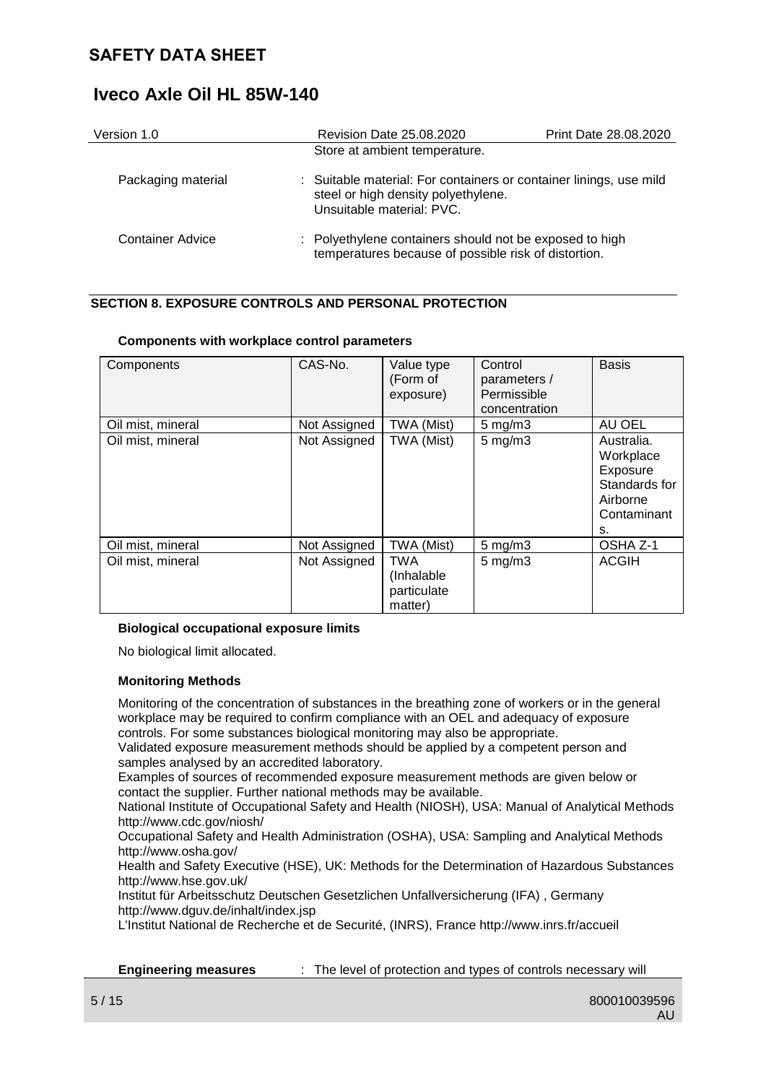| Version 1.0             | <b>Revision Date 25.08.2020</b>                                                                                                        | Print Date 28.08.2020 |
|-------------------------|----------------------------------------------------------------------------------------------------------------------------------------|-----------------------|
|                         | Store at ambient temperature.                                                                                                          |                       |
| Packaging material      | : Suitable material: For containers or container linings, use mild<br>steel or high density polyethylene.<br>Unsuitable material: PVC. |                       |
| <b>Container Advice</b> | : Polyethylene containers should not be exposed to high<br>temperatures because of possible risk of distortion.                        |                       |

## **SECTION 8. EXPOSURE CONTROLS AND PERSONAL PROTECTION**

| Components        | CAS-No.      | Value type<br>(Form of<br>exposure)                | Control<br>parameters /<br>Permissible<br>concentration | <b>Basis</b>                                                                          |
|-------------------|--------------|----------------------------------------------------|---------------------------------------------------------|---------------------------------------------------------------------------------------|
| Oil mist, mineral | Not Assigned | TWA (Mist)                                         | $5 \text{ mg/m}$                                        | AU OEL                                                                                |
| Oil mist, mineral | Not Assigned | TWA (Mist)                                         | $5$ mg/m $3$                                            | Australia.<br>Workplace<br>Exposure<br>Standards for<br>Airborne<br>Contaminant<br>s. |
| Oil mist, mineral | Not Assigned | TWA (Mist)                                         | $5$ mg/m $3$                                            | OSHA Z-1                                                                              |
| Oil mist, mineral | Not Assigned | <b>TWA</b><br>(Inhalable<br>particulate<br>matter) | $5$ mg/m $3$                                            | <b>ACGIH</b>                                                                          |

## **Components with workplace control parameters**

## **Biological occupational exposure limits**

No biological limit allocated.

## **Monitoring Methods**

Monitoring of the concentration of substances in the breathing zone of workers or in the general workplace may be required to confirm compliance with an OEL and adequacy of exposure controls. For some substances biological monitoring may also be appropriate.

Validated exposure measurement methods should be applied by a competent person and samples analysed by an accredited laboratory.

Examples of sources of recommended exposure measurement methods are given below or contact the supplier. Further national methods may be available.

National Institute of Occupational Safety and Health (NIOSH), USA: Manual of Analytical Methods http://www.cdc.gov/niosh/

Occupational Safety and Health Administration (OSHA), USA: Sampling and Analytical Methods http://www.osha.gov/

Health and Safety Executive (HSE), UK: Methods for the Determination of Hazardous Substances http://www.hse.gov.uk/

Institut für Arbeitsschutz Deutschen Gesetzlichen Unfallversicherung (IFA) , Germany http://www.dguv.de/inhalt/index.jsp

L'Institut National de Recherche et de Securité, (INRS), France http://www.inrs.fr/accueil

**Engineering measures** : The level of protection and types of controls necessary will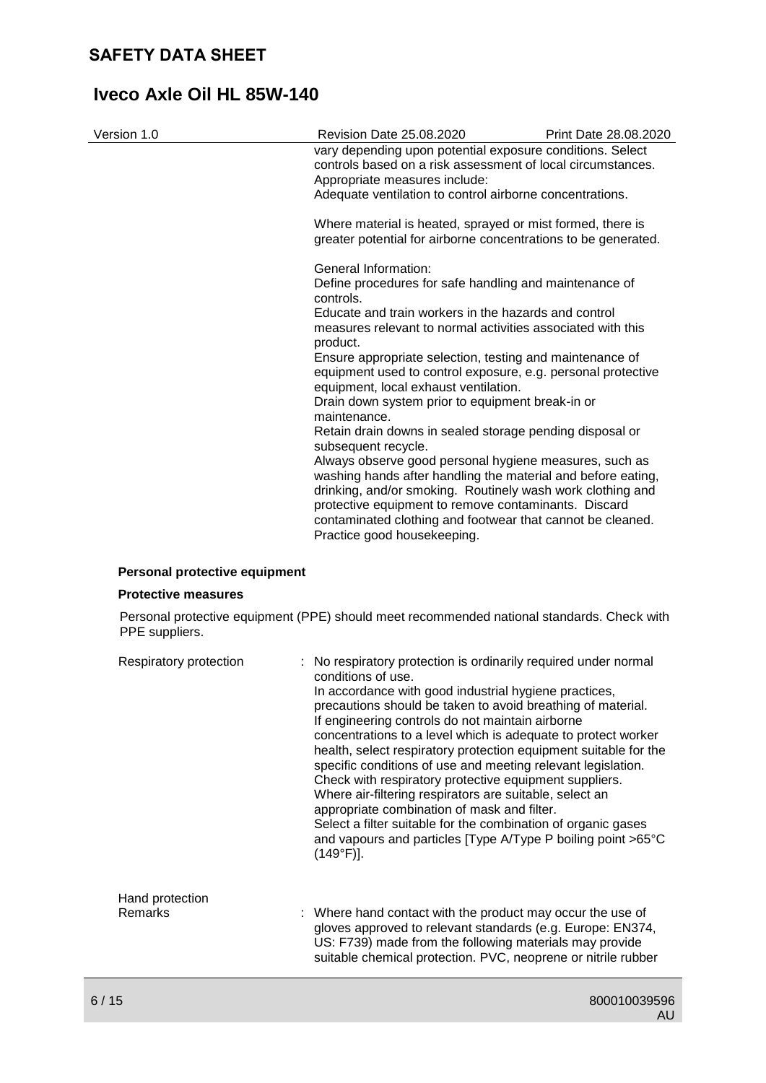| Version 1.0 | <b>Revision Date 25.08.2020</b>                                                                                                                                                                                                                                                                            | Print Date 28.08.2020 |  |
|-------------|------------------------------------------------------------------------------------------------------------------------------------------------------------------------------------------------------------------------------------------------------------------------------------------------------------|-----------------------|--|
|             | vary depending upon potential exposure conditions. Select<br>controls based on a risk assessment of local circumstances.<br>Appropriate measures include:                                                                                                                                                  |                       |  |
|             | Adequate ventilation to control airborne concentrations.                                                                                                                                                                                                                                                   |                       |  |
|             | Where material is heated, sprayed or mist formed, there is<br>greater potential for airborne concentrations to be generated.                                                                                                                                                                               |                       |  |
|             | General Information:                                                                                                                                                                                                                                                                                       |                       |  |
|             | Define procedures for safe handling and maintenance of<br>controls.                                                                                                                                                                                                                                        |                       |  |
|             | Educate and train workers in the hazards and control                                                                                                                                                                                                                                                       |                       |  |
|             | measures relevant to normal activities associated with this<br>product.                                                                                                                                                                                                                                    |                       |  |
|             | Ensure appropriate selection, testing and maintenance of<br>equipment used to control exposure, e.g. personal protective<br>equipment, local exhaust ventilation.                                                                                                                                          |                       |  |
|             | Drain down system prior to equipment break-in or                                                                                                                                                                                                                                                           |                       |  |
|             | maintenance.                                                                                                                                                                                                                                                                                               |                       |  |
|             | Retain drain downs in sealed storage pending disposal or<br>subsequent recycle.                                                                                                                                                                                                                            |                       |  |
|             | Always observe good personal hygiene measures, such as<br>washing hands after handling the material and before eating,<br>drinking, and/or smoking. Routinely wash work clothing and<br>protective equipment to remove contaminants. Discard<br>contaminated clothing and footwear that cannot be cleaned. |                       |  |
|             | Practice good housekeeping.                                                                                                                                                                                                                                                                                |                       |  |

## **Personal protective equipment**

## **Protective measures**

Personal protective equipment (PPE) should meet recommended national standards. Check with PPE suppliers.

| Respiratory protection     | : No respiratory protection is ordinarily required under normal<br>conditions of use.<br>In accordance with good industrial hygiene practices,<br>precautions should be taken to avoid breathing of material.<br>If engineering controls do not maintain airborne<br>concentrations to a level which is adequate to protect worker<br>health, select respiratory protection equipment suitable for the<br>specific conditions of use and meeting relevant legislation.<br>Check with respiratory protective equipment suppliers.<br>Where air-filtering respirators are suitable, select an<br>appropriate combination of mask and filter.<br>Select a filter suitable for the combination of organic gases<br>and vapours and particles [Type A/Type P boiling point >65°C<br>$(149°F)$ ]. |
|----------------------------|---------------------------------------------------------------------------------------------------------------------------------------------------------------------------------------------------------------------------------------------------------------------------------------------------------------------------------------------------------------------------------------------------------------------------------------------------------------------------------------------------------------------------------------------------------------------------------------------------------------------------------------------------------------------------------------------------------------------------------------------------------------------------------------------|
| Hand protection<br>Remarks | : Where hand contact with the product may occur the use of<br>gloves approved to relevant standards (e.g. Europe: EN374,<br>US: F739) made from the following materials may provide<br>suitable chemical protection. PVC, neoprene or nitrile rubber                                                                                                                                                                                                                                                                                                                                                                                                                                                                                                                                        |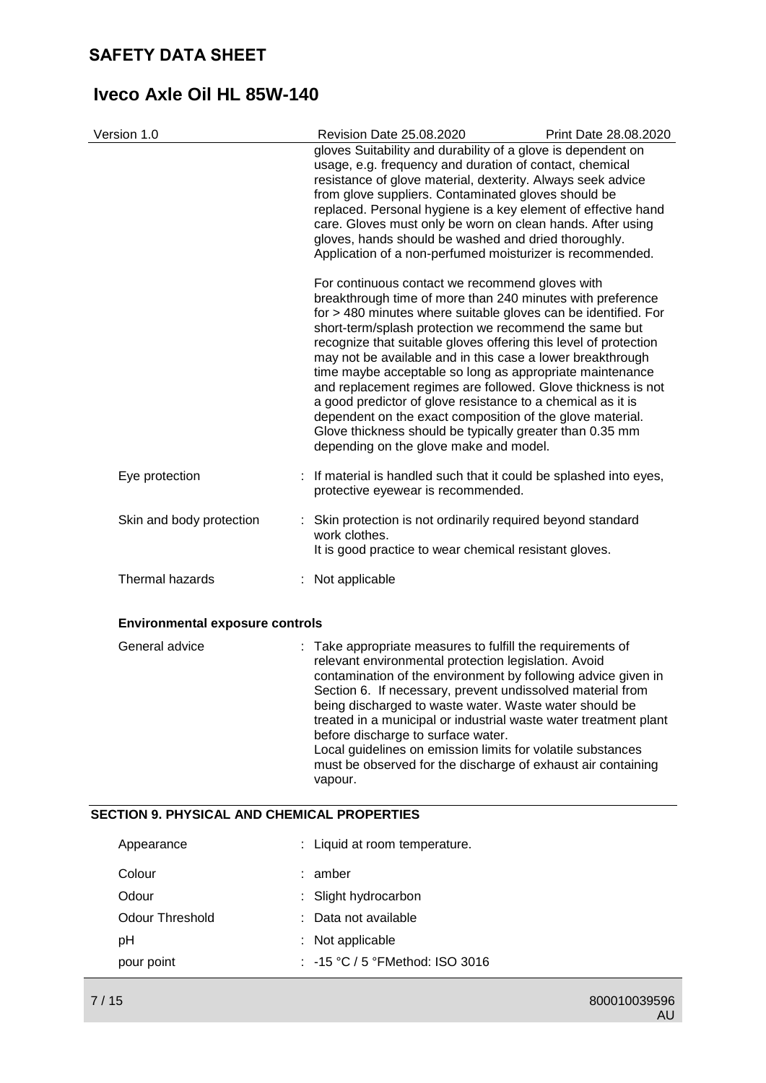| Version 1.0                            | Revision Date 25.08.2020                                                                                                                                                                                                                                                                                                                                                                                                                                                                                                                                                                                                                                                                                                                  | Print Date 28.08.2020 |
|----------------------------------------|-------------------------------------------------------------------------------------------------------------------------------------------------------------------------------------------------------------------------------------------------------------------------------------------------------------------------------------------------------------------------------------------------------------------------------------------------------------------------------------------------------------------------------------------------------------------------------------------------------------------------------------------------------------------------------------------------------------------------------------------|-----------------------|
|                                        | gloves Suitability and durability of a glove is dependent on<br>usage, e.g. frequency and duration of contact, chemical<br>resistance of glove material, dexterity. Always seek advice<br>from glove suppliers. Contaminated gloves should be<br>replaced. Personal hygiene is a key element of effective hand<br>care. Gloves must only be worn on clean hands. After using<br>gloves, hands should be washed and dried thoroughly.<br>Application of a non-perfumed moisturizer is recommended.                                                                                                                                                                                                                                         |                       |
|                                        | For continuous contact we recommend gloves with<br>breakthrough time of more than 240 minutes with preference<br>for > 480 minutes where suitable gloves can be identified. For<br>short-term/splash protection we recommend the same but<br>recognize that suitable gloves offering this level of protection<br>may not be available and in this case a lower breakthrough<br>time maybe acceptable so long as appropriate maintenance<br>and replacement regimes are followed. Glove thickness is not<br>a good predictor of glove resistance to a chemical as it is<br>dependent on the exact composition of the glove material.<br>Glove thickness should be typically greater than 0.35 mm<br>depending on the glove make and model. |                       |
| Eye protection                         | : If material is handled such that it could be splashed into eyes,<br>protective eyewear is recommended.                                                                                                                                                                                                                                                                                                                                                                                                                                                                                                                                                                                                                                  |                       |
| Skin and body protection               | : Skin protection is not ordinarily required beyond standard<br>work clothes.<br>It is good practice to wear chemical resistant gloves.                                                                                                                                                                                                                                                                                                                                                                                                                                                                                                                                                                                                   |                       |
| Thermal hazards                        | : Not applicable                                                                                                                                                                                                                                                                                                                                                                                                                                                                                                                                                                                                                                                                                                                          |                       |
| <b>Environmental exposure controls</b> |                                                                                                                                                                                                                                                                                                                                                                                                                                                                                                                                                                                                                                                                                                                                           |                       |
| General advice                         | : Take appropriate measures to fulfill the requirements of<br>relevant environmental protection legislation. Avoid<br>contamination of the environment by following advice given in<br>Section 6. If necessary, prevent undissolved material from<br>being discharged to waste water. Waste water should be<br>.                                                                                                                                                                                                                                                                                                                                                                                                                          |                       |

treated in a municipal or industrial waste water treatment plant before discharge to surface water. Local guidelines on emission limits for volatile substances must be observed for the discharge of exhaust air containing

# **SECTION 9. PHYSICAL AND CHEMICAL PROPERTIES**

| Appearance      | : Liquid at room temperature.              |
|-----------------|--------------------------------------------|
| Colour          | : amber                                    |
| Odour           | : Slight hydrocarbon                       |
| Odour Threshold | : Data not available                       |
| рH              | : Not applicable                           |
| pour point      | $\therefore$ -15 °C / 5 °FMethod: ISO 3016 |

vapour.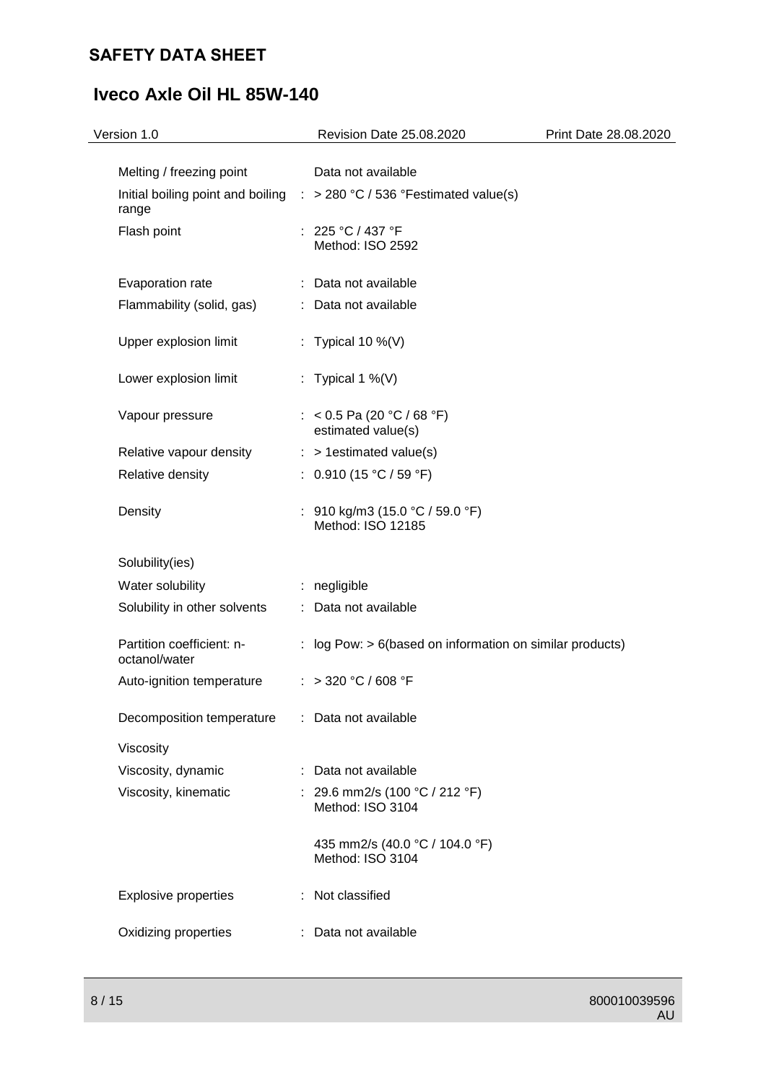# **Iveco Axle Oil HL 85W-140**

| Version 1.0                                | Revision Date 25.08.2020                                                           | Print Date 28.08.2020 |
|--------------------------------------------|------------------------------------------------------------------------------------|-----------------------|
| Melting / freezing point                   | Data not available                                                                 |                       |
| range                                      | Initial boiling point and boiling $\therefore$ > 280 °C / 536 °Festimated value(s) |                       |
| Flash point                                | : $225 °C / 437 °F$<br>Method: ISO 2592                                            |                       |
| Evaporation rate                           | : Data not available                                                               |                       |
| Flammability (solid, gas)                  | : Data not available                                                               |                       |
| Upper explosion limit                      | : Typical 10 %(V)                                                                  |                       |
| Lower explosion limit                      | : Typical 1 %(V)                                                                   |                       |
| Vapour pressure                            | : < 0.5 Pa (20 °C / 68 °F)<br>estimated value(s)                                   |                       |
| Relative vapour density                    | $:$ > 1 estimated value(s)                                                         |                       |
| Relative density                           | : $0.910(15 °C / 59 °F)$                                                           |                       |
| Density                                    | : $910 \text{ kg/m}3 (15.0 \text{ °C} / 59.0 \text{ °F})$<br>Method: ISO 12185     |                       |
| Solubility(ies)                            |                                                                                    |                       |
| Water solubility                           | : negligible                                                                       |                       |
| Solubility in other solvents               | : Data not available                                                               |                       |
| Partition coefficient: n-<br>octanol/water | : log Pow: $> 6$ (based on information on similar products)                        |                       |
| Auto-ignition temperature                  | : > 320 °C / 608 °F                                                                |                       |
| Decomposition temperature                  | : Data not available                                                               |                       |
| Viscosity                                  |                                                                                    |                       |
| Viscosity, dynamic                         | : Data not available                                                               |                       |
| Viscosity, kinematic                       | : 29.6 mm2/s (100 °C / 212 °F)<br>Method: ISO 3104                                 |                       |
|                                            | 435 mm2/s (40.0 °C / 104.0 °F)<br>Method: ISO 3104                                 |                       |
| <b>Explosive properties</b>                | : Not classified                                                                   |                       |
| Oxidizing properties                       | : Data not available                                                               |                       |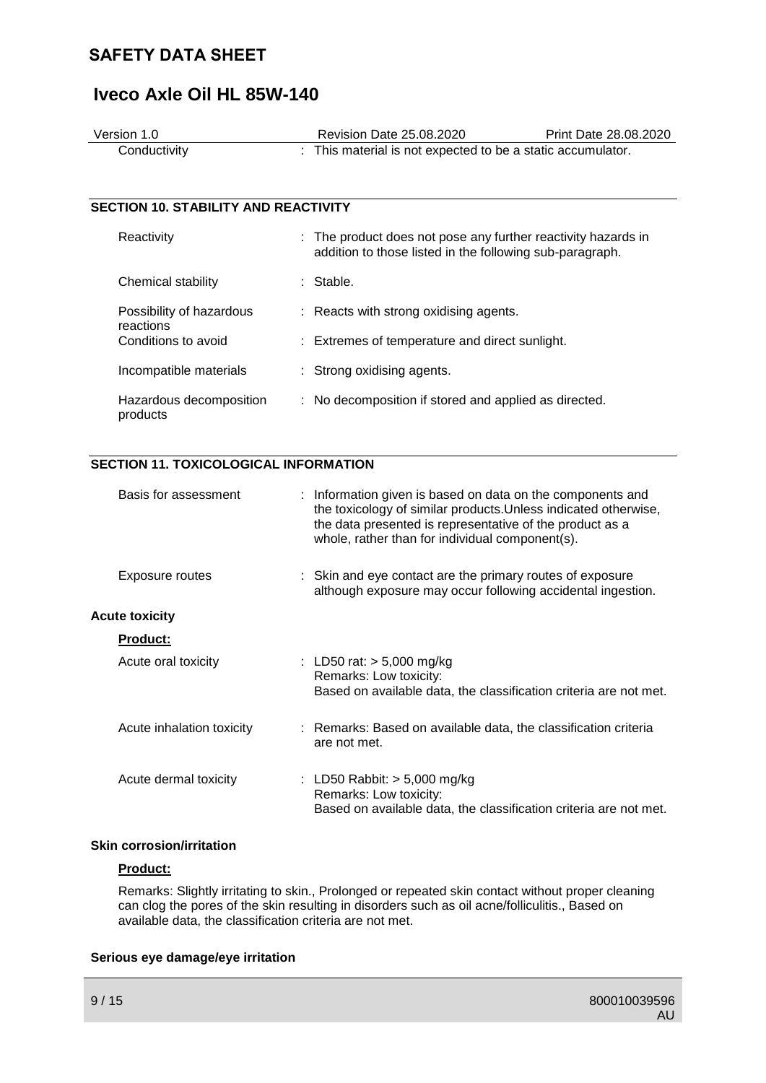# **Iveco Axle Oil HL 85W-140**

| Version 1.0                                 |  | <b>Revision Date 25.08.2020</b>                                                                                           | Print Date 28.08.2020 |
|---------------------------------------------|--|---------------------------------------------------------------------------------------------------------------------------|-----------------------|
| Conductivity                                |  | : This material is not expected to be a static accumulator.                                                               |                       |
|                                             |  |                                                                                                                           |                       |
|                                             |  |                                                                                                                           |                       |
| <b>SECTION 10. STABILITY AND REACTIVITY</b> |  |                                                                                                                           |                       |
| Reactivity                                  |  | : The product does not pose any further reactivity hazards in<br>addition to those listed in the following sub-paragraph. |                       |
| Chemical stability                          |  | : Stable.                                                                                                                 |                       |
| Possibility of hazardous<br>reactions       |  | : Reacts with strong oxidising agents.                                                                                    |                       |
| Conditions to avoid                         |  | : Extremes of temperature and direct sunlight.                                                                            |                       |
| Incompatible materials                      |  | : Strong oxidising agents.                                                                                                |                       |
| Hazardous decomposition<br>products         |  | : No decomposition if stored and applied as directed.                                                                     |                       |

## **SECTION 11. TOXICOLOGICAL INFORMATION**

| Basis for assessment      | : Information given is based on data on the components and<br>the toxicology of similar products. Unless indicated otherwise,<br>the data presented is representative of the product as a<br>whole, rather than for individual component(s). |
|---------------------------|----------------------------------------------------------------------------------------------------------------------------------------------------------------------------------------------------------------------------------------------|
| Exposure routes           | : Skin and eye contact are the primary routes of exposure<br>although exposure may occur following accidental ingestion.                                                                                                                     |
| <b>Acute toxicity</b>     |                                                                                                                                                                                                                                              |
| <b>Product:</b>           |                                                                                                                                                                                                                                              |
| Acute oral toxicity       | : LD50 rat: $> 5,000$ mg/kg<br>Remarks: Low toxicity:<br>Based on available data, the classification criteria are not met.                                                                                                                   |
| Acute inhalation toxicity | : Remarks: Based on available data, the classification criteria<br>are not met.                                                                                                                                                              |
| Acute dermal toxicity     | : LD50 Rabbit: $>$ 5,000 mg/kg<br>Remarks: Low toxicity:<br>Based on available data, the classification criteria are not met.                                                                                                                |

## **Skin corrosion/irritation**

## **Product:**

Remarks: Slightly irritating to skin., Prolonged or repeated skin contact without proper cleaning can clog the pores of the skin resulting in disorders such as oil acne/folliculitis., Based on available data, the classification criteria are not met.

## **Serious eye damage/eye irritation**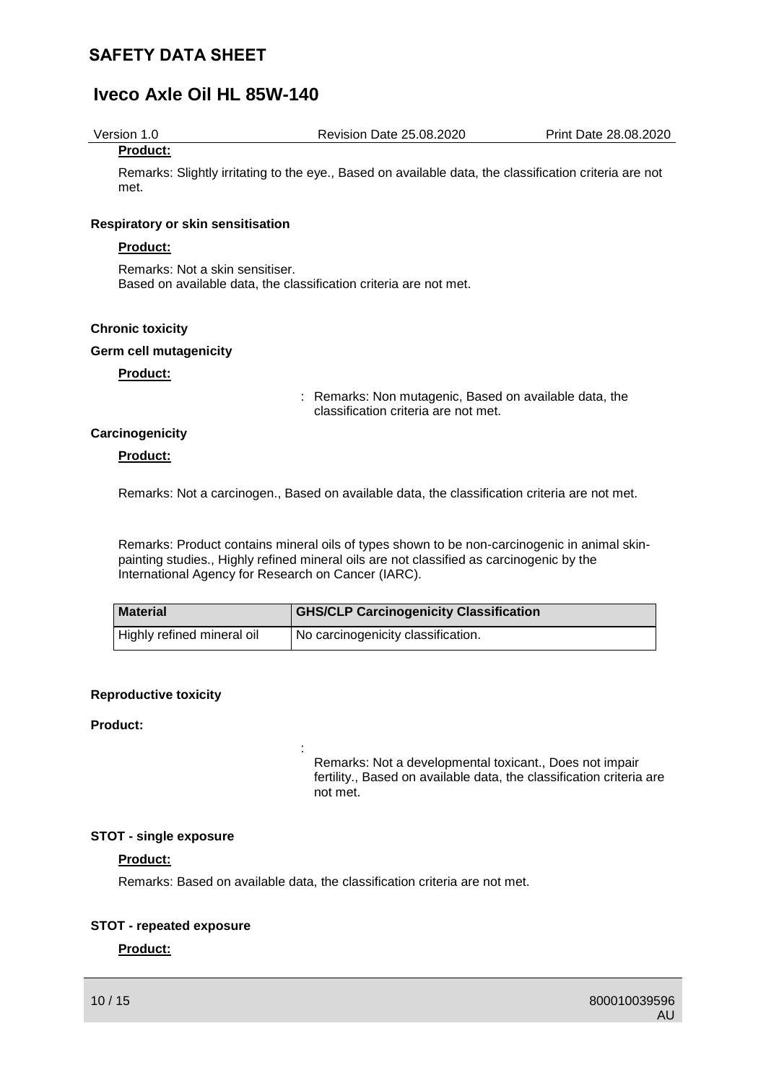# **Iveco Axle Oil HL 85W-140**

Version 1.0 Revision Date 25.08.2020 Print Date 28.08.2020

#### **Product:**

Remarks: Slightly irritating to the eye., Based on available data, the classification criteria are not met.

#### **Respiratory or skin sensitisation**

## **Product:**

Remarks: Not a skin sensitiser. Based on available data, the classification criteria are not met.

#### **Chronic toxicity**

#### **Germ cell mutagenicity**

## **Product:**

: Remarks: Non mutagenic, Based on available data, the classification criteria are not met.

## **Carcinogenicity**

#### **Product:**

Remarks: Not a carcinogen., Based on available data, the classification criteria are not met.

Remarks: Product contains mineral oils of types shown to be non-carcinogenic in animal skinpainting studies., Highly refined mineral oils are not classified as carcinogenic by the International Agency for Research on Cancer (IARC).

| <b>Material</b>            | <b>GHS/CLP Carcinogenicity Classification</b>   |
|----------------------------|-------------------------------------------------|
| Highly refined mineral oil | <sup>1</sup> No carcinogenicity classification. |

## **Reproductive toxicity**

#### **Product:**

Remarks: Not a developmental toxicant., Does not impair fertility., Based on available data, the classification criteria are not met.

## **STOT - single exposure**

## **Product:**

Remarks: Based on available data, the classification criteria are not met.

:

## **STOT - repeated exposure**

## **Product:**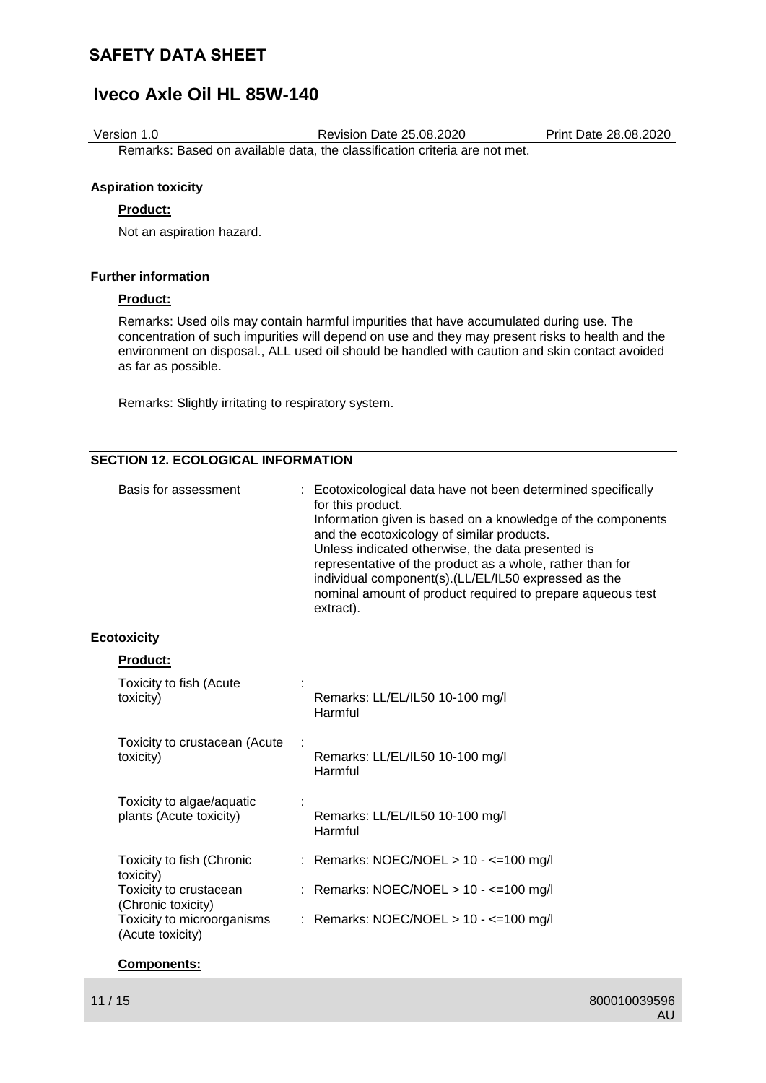# **Iveco Axle Oil HL 85W-140**

Version 1.0 Revision Date 25.08.2020 Print Date 28.08.2020

Remarks: Based on available data, the classification criteria are not met.

## **Aspiration toxicity**

## **Product:**

Not an aspiration hazard.

## **Further information**

#### **Product:**

Remarks: Used oils may contain harmful impurities that have accumulated during use. The concentration of such impurities will depend on use and they may present risks to health and the environment on disposal., ALL used oil should be handled with caution and skin contact avoided as far as possible.

Remarks: Slightly irritating to respiratory system.

## **SECTION 12. ECOLOGICAL INFORMATION**

| for this product.<br>Information given is based on a knowledge of the components<br>and the ecotoxicology of similar products.<br>Unless indicated otherwise, the data presented is<br>representative of the product as a whole, rather than for<br>individual component(s). (LL/EL/IL50 expressed as the<br>nominal amount of product required to prepare aqueous test<br>extract). |
|--------------------------------------------------------------------------------------------------------------------------------------------------------------------------------------------------------------------------------------------------------------------------------------------------------------------------------------------------------------------------------------|
|--------------------------------------------------------------------------------------------------------------------------------------------------------------------------------------------------------------------------------------------------------------------------------------------------------------------------------------------------------------------------------------|

### **Ecotoxicity**

| <b>Product:</b>                                      |                                            |
|------------------------------------------------------|--------------------------------------------|
| Toxicity to fish (Acute<br>toxicity)                 | Remarks: LL/EL/IL50 10-100 mg/l<br>Harmful |
| Toxicity to crustacean (Acute<br>toxicity)           | Remarks: LL/EL/IL50 10-100 mg/l<br>Harmful |
| Toxicity to algae/aquatic<br>plants (Acute toxicity) | Remarks: LL/EL/IL50 10-100 mg/l<br>Harmful |
| Toxicity to fish (Chronic<br>toxicity)               | : Remarks: NOEC/NOEL > 10 - <= 100 mg/l    |
| Toxicity to crustacean<br>(Chronic toxicity)         | : Remarks: NOEC/NOEL > 10 - <= 100 mg/l    |
| Toxicity to microorganisms<br>(Acute toxicity)       | : Remarks: NOEC/NOEL > 10 - <= 100 mg/l    |

#### **Components:**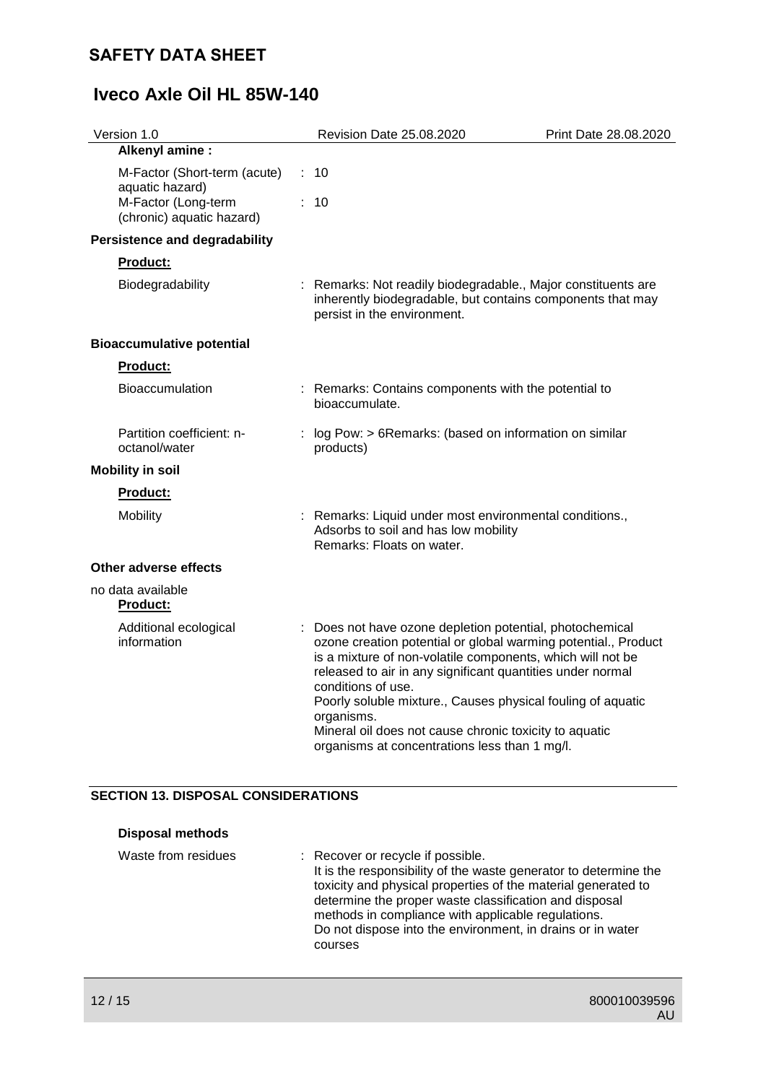| Revision Date 25.08.2020                                                                                                                                                                                                                                                                                                                                                                                                                                             | Print Date 28.08.2020 |
|----------------------------------------------------------------------------------------------------------------------------------------------------------------------------------------------------------------------------------------------------------------------------------------------------------------------------------------------------------------------------------------------------------------------------------------------------------------------|-----------------------|
|                                                                                                                                                                                                                                                                                                                                                                                                                                                                      |                       |
| M-Factor (Short-term (acute)<br>10<br>÷                                                                                                                                                                                                                                                                                                                                                                                                                              |                       |
| 10                                                                                                                                                                                                                                                                                                                                                                                                                                                                   |                       |
|                                                                                                                                                                                                                                                                                                                                                                                                                                                                      |                       |
|                                                                                                                                                                                                                                                                                                                                                                                                                                                                      |                       |
| : Remarks: Not readily biodegradable., Major constituents are<br>inherently biodegradable, but contains components that may<br>persist in the environment.                                                                                                                                                                                                                                                                                                           |                       |
|                                                                                                                                                                                                                                                                                                                                                                                                                                                                      |                       |
|                                                                                                                                                                                                                                                                                                                                                                                                                                                                      |                       |
| : Remarks: Contains components with the potential to<br>bioaccumulate.                                                                                                                                                                                                                                                                                                                                                                                               |                       |
| : log Pow: > 6Remarks: (based on information on similar<br>products)                                                                                                                                                                                                                                                                                                                                                                                                 |                       |
|                                                                                                                                                                                                                                                                                                                                                                                                                                                                      |                       |
|                                                                                                                                                                                                                                                                                                                                                                                                                                                                      |                       |
| : Remarks: Liquid under most environmental conditions.,<br>Adsorbs to soil and has low mobility<br>Remarks: Floats on water.                                                                                                                                                                                                                                                                                                                                         |                       |
|                                                                                                                                                                                                                                                                                                                                                                                                                                                                      |                       |
|                                                                                                                                                                                                                                                                                                                                                                                                                                                                      |                       |
| : Does not have ozone depletion potential, photochemical<br>ozone creation potential or global warming potential., Product<br>is a mixture of non-volatile components, which will not be<br>released to air in any significant quantities under normal<br>conditions of use.<br>Poorly soluble mixture., Causes physical fouling of aquatic<br>organisms.<br>Mineral oil does not cause chronic toxicity to aquatic<br>organisms at concentrations less than 1 mg/l. |                       |
|                                                                                                                                                                                                                                                                                                                                                                                                                                                                      |                       |

# **SECTION 13. DISPOSAL CONSIDERATIONS**

| <b>Disposal methods</b> |                                                                                                                                                                                                                                                                                                                                                                 |
|-------------------------|-----------------------------------------------------------------------------------------------------------------------------------------------------------------------------------------------------------------------------------------------------------------------------------------------------------------------------------------------------------------|
| Waste from residues     | : Recover or recycle if possible.<br>It is the responsibility of the waste generator to determine the<br>toxicity and physical properties of the material generated to<br>determine the proper waste classification and disposal<br>methods in compliance with applicable regulations.<br>Do not dispose into the environment, in drains or in water<br>courses |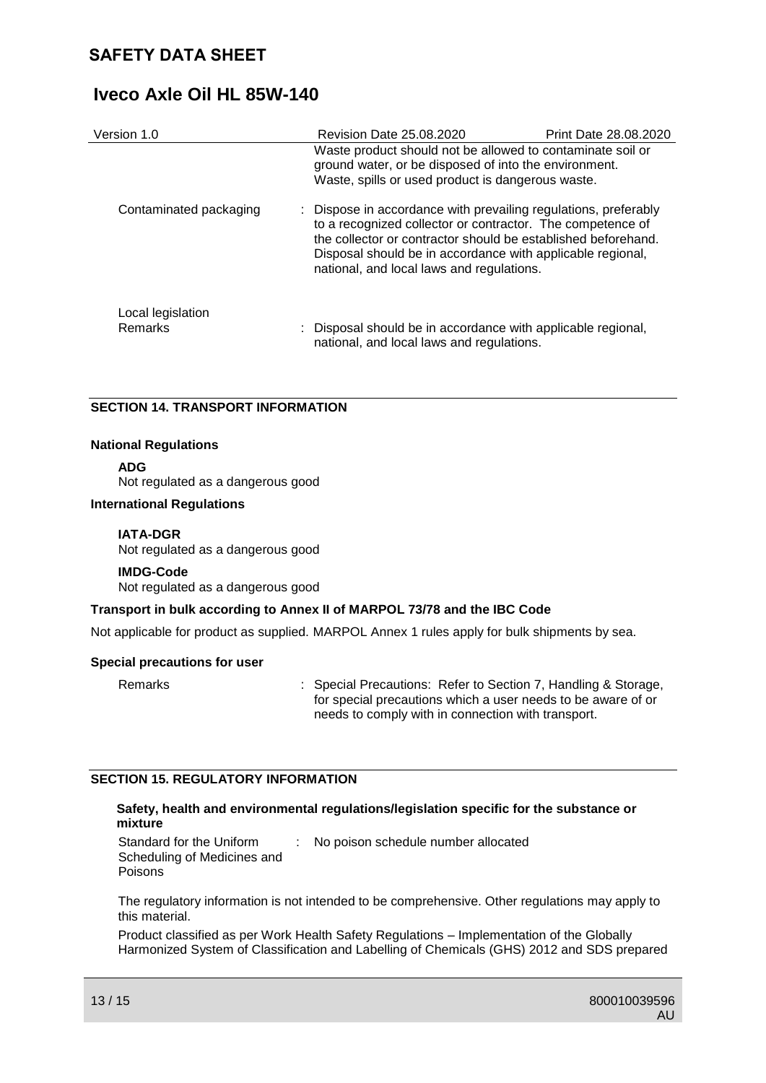# **Iveco Axle Oil HL 85W-140**

| Version 1.0                  | Revision Date 25.08.2020                                                                                                                                                                                                                                                                                  | Print Date 28.08.2020 |
|------------------------------|-----------------------------------------------------------------------------------------------------------------------------------------------------------------------------------------------------------------------------------------------------------------------------------------------------------|-----------------------|
|                              | Waste product should not be allowed to contaminate soil or<br>ground water, or be disposed of into the environment.<br>Waste, spills or used product is dangerous waste.                                                                                                                                  |                       |
| Contaminated packaging       | : Dispose in accordance with prevailing regulations, preferably<br>to a recognized collector or contractor. The competence of<br>the collector or contractor should be established beforehand.<br>Disposal should be in accordance with applicable regional,<br>national, and local laws and regulations. |                       |
| Local legislation<br>Remarks | : Disposal should be in accordance with applicable regional,<br>national, and local laws and regulations.                                                                                                                                                                                                 |                       |

## **SECTION 14. TRANSPORT INFORMATION**

### **National Regulations**

**ADG**

Not regulated as a dangerous good

#### **International Regulations**

### **IATA-DGR**

Not regulated as a dangerous good

#### **IMDG-Code** Not regulated as a dangerous good

## **Transport in bulk according to Annex II of MARPOL 73/78 and the IBC Code**

Not applicable for product as supplied. MARPOL Annex 1 rules apply for bulk shipments by sea.

## **Special precautions for user**

Remarks : Special Precautions: Refer to Section 7, Handling & Storage, for special precautions which a user needs to be aware of or needs to comply with in connection with transport.

## **SECTION 15. REGULATORY INFORMATION**

## **Safety, health and environmental regulations/legislation specific for the substance or mixture**

Standard for the Uniform Scheduling of Medicines and Poisons : No poison schedule number allocated

The regulatory information is not intended to be comprehensive. Other regulations may apply to this material.

Product classified as per Work Health Safety Regulations – Implementation of the Globally Harmonized System of Classification and Labelling of Chemicals (GHS) 2012 and SDS prepared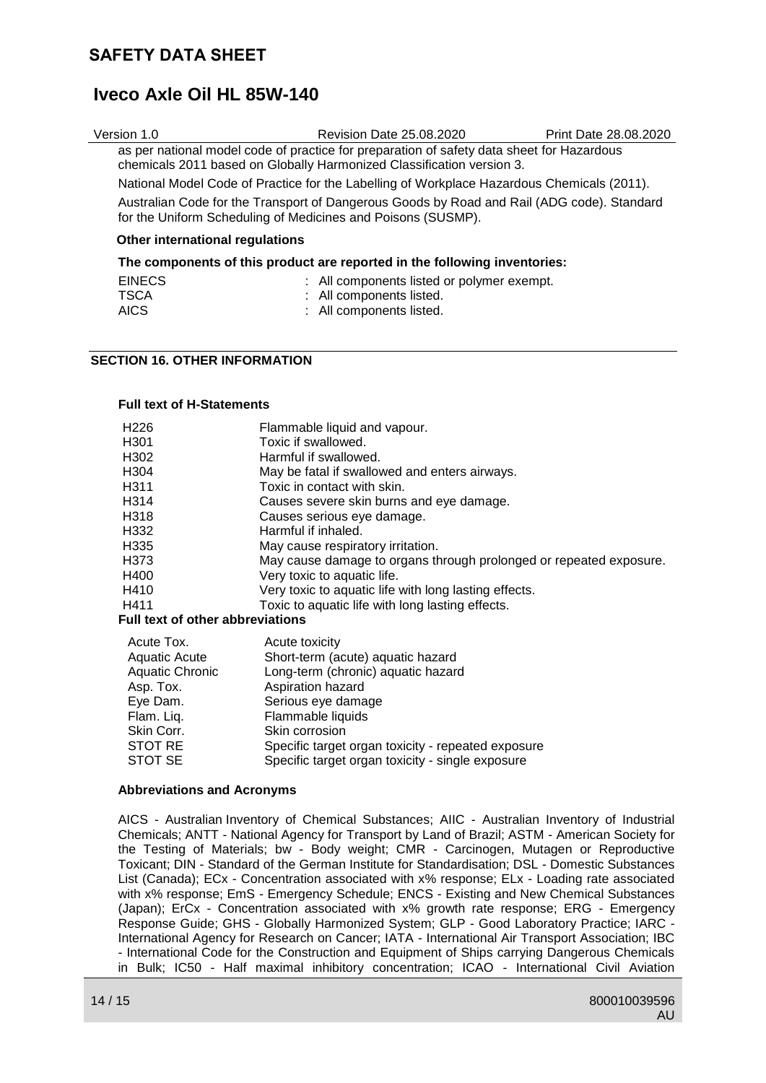# **Iveco Axle Oil HL 85W-140**

| Version 1.0                                                                                                                                                | <b>Revision Date 25.08.2020</b>                                                                                                                                    | Print Date 28,08,2020 |
|------------------------------------------------------------------------------------------------------------------------------------------------------------|--------------------------------------------------------------------------------------------------------------------------------------------------------------------|-----------------------|
|                                                                                                                                                            | as per national model code of practice for preparation of safety data sheet for Hazardous<br>chemicals 2011 based on Globally Harmonized Classification version 3. |                       |
| National Model Code of Practice for the Labelling of Workplace Hazardous Chemicals (2011).                                                                 |                                                                                                                                                                    |                       |
| Australian Code for the Transport of Dangerous Goods by Road and Rail (ADG code). Standard<br>for the Uniform Scheduling of Medicines and Poisons (SUSMP). |                                                                                                                                                                    |                       |
| Other international regulations                                                                                                                            |                                                                                                                                                                    |                       |

### **The components of this product are reported in the following inventories:**

|  | <b>EINECS</b><br><b>TSCA</b><br><b>AICS</b> | : All components listed or polymer exempt.<br>: All components listed.<br>: All components listed. |
|--|---------------------------------------------|----------------------------------------------------------------------------------------------------|
|--|---------------------------------------------|----------------------------------------------------------------------------------------------------|

## **SECTION 16. OTHER INFORMATION**

#### **Full text of H-Statements**

| H226 | Flammable liquid and vapour.                                       |
|------|--------------------------------------------------------------------|
| H301 | Toxic if swallowed.                                                |
| H302 | Harmful if swallowed.                                              |
| H304 | May be fatal if swallowed and enters airways.                      |
| H311 | Toxic in contact with skin.                                        |
| H314 | Causes severe skin burns and eye damage.                           |
| H318 | Causes serious eye damage.                                         |
| H332 | Harmful if inhaled.                                                |
| H335 | May cause respiratory irritation.                                  |
| H373 | May cause damage to organs through prolonged or repeated exposure. |
| H400 | Very toxic to aquatic life.                                        |
| H410 | Very toxic to aquatic life with long lasting effects.              |
| H411 | Toxic to aquatic life with long lasting effects.                   |
|      |                                                                    |

#### **Full text of other abbreviations**

| Acute Tox.      | Acute toxicity                                     |
|-----------------|----------------------------------------------------|
| Aquatic Acute   | Short-term (acute) aquatic hazard                  |
| Aquatic Chronic | Long-term (chronic) aquatic hazard                 |
| Asp. Tox.       | Aspiration hazard                                  |
| Eye Dam.        | Serious eye damage                                 |
| Flam. Liq.      | Flammable liquids                                  |
| Skin Corr.      | Skin corrosion                                     |
| <b>STOT RE</b>  | Specific target organ toxicity - repeated exposure |
| STOT SE         | Specific target organ toxicity - single exposure   |

#### **Abbreviations and Acronyms**

AICS - Australian Inventory of Chemical Substances; AIIC - Australian Inventory of Industrial Chemicals; ANTT - National Agency for Transport by Land of Brazil; ASTM - American Society for the Testing of Materials; bw - Body weight; CMR - Carcinogen, Mutagen or Reproductive Toxicant; DIN - Standard of the German Institute for Standardisation; DSL - Domestic Substances List (Canada); ECx - Concentration associated with x% response; ELx - Loading rate associated with x% response; EmS - Emergency Schedule; ENCS - Existing and New Chemical Substances (Japan); ErCx - Concentration associated with x% growth rate response; ERG - Emergency Response Guide; GHS - Globally Harmonized System; GLP - Good Laboratory Practice; IARC - International Agency for Research on Cancer; IATA - International Air Transport Association; IBC - International Code for the Construction and Equipment of Ships carrying Dangerous Chemicals in Bulk; IC50 - Half maximal inhibitory concentration; ICAO - International Civil Aviation